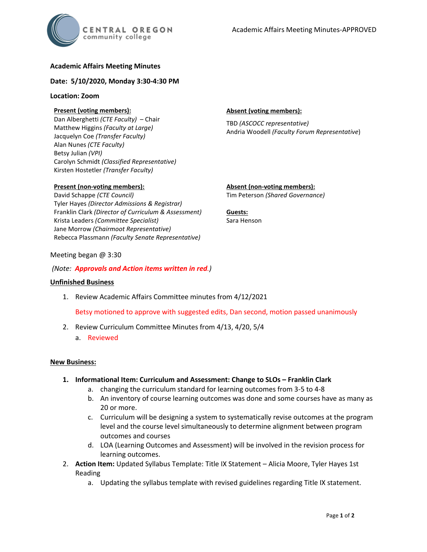# **Academic Affairs Meeting Minutes**

## **Date: 5/10/2020, Monday 3:30-4:30 PM**

### **Location: Zoom**

# **Present (voting members):**

Dan Alberghetti *(CTE Faculty)* – Chair Matthew Higgins *(Faculty at Large)* Jacquelyn Coe *(Transfer Faculty)*  Alan Nunes *(CTE Faculty)* Betsy Julian *(VPI)* Carolyn Schmidt *(Classified Representative)* Kirsten Hostetler *(Transfer Faculty)*

# **Present (non-voting members):**

David Schappe *(CTE Council)* Tyler Hayes *(Director Admissions & Registrar)* Franklin Clark *(Director of Curriculum & Assessment)* Krista Leaders *(Committee Specialist)* Jane Morrow *(Chairmoot Representative)* Rebecca Plassmann *(Faculty Senate Representative)*

### **Absent (voting members):**

TBD *(ASCOCC representative)* Andria Woodell *(Faculty Forum Representative*)

**Absent (non-voting members):** Tim Peterson *(Shared Governance)*

**Guests:** Sara Henson

## Meeting began @ 3:30

*(Note: Approvals and Action items written in red.)*

#### **Unfinished Business**

1. Review Academic Affairs Committee minutes from 4/12/2021

Betsy motioned to approve with suggested edits, Dan second, motion passed unanimously

- 2. Review Curriculum Committee Minutes from 4/13, 4/20, 5/4
	- a. Reviewed

## **New Business:**

- **1. Informational Item: Curriculum and Assessment: Change to SLOs – Franklin Clark** 
	- a. changing the curriculum standard for learning outcomes from 3-5 to 4-8
	- b. An inventory of course learning outcomes was done and some courses have as many as 20 or more.
	- c. Curriculum will be designing a system to systematically revise outcomes at the program level and the course level simultaneously to determine alignment between program outcomes and courses
	- d. LOA (Learning Outcomes and Assessment) will be involved in the revision process for learning outcomes.
- 2. **Action Item:** Updated Syllabus Template: Title IX Statement Alicia Moore, Tyler Hayes 1st Reading
	- a. Updating the syllabus template with revised guidelines regarding Title IX statement.